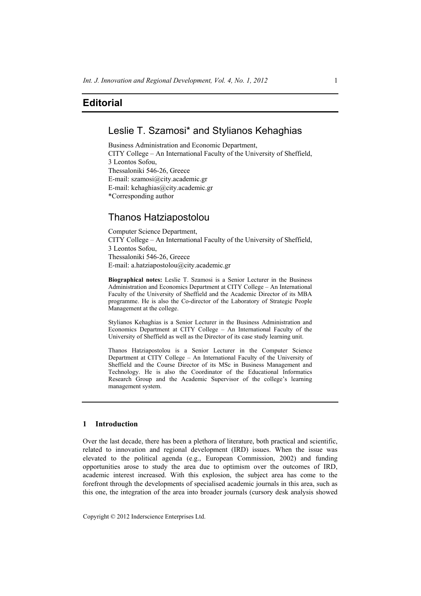# Leslie T. Szamosi\* and Stylianos Kehaghias

Business Administration and Economic Department, CITY College – An International Faculty of the University of Sheffield, 3 Leontos Sofou, Thessaloniki 546-26, Greece E-mail: szamosi@city.academic.gr E-mail: kehaghias@city.academic.gr \*Corresponding author

## Thanos Hatziapostolou

Computer Science Department, CITY College – An International Faculty of the University of Sheffield, 3 Leontos Sofou, Thessaloniki 546-26, Greece E-mail: a.hatziapostolou@city.academic.gr

**Biographical notes:** Leslie T. Szamosi is a Senior Lecturer in the Business Administration and Economics Department at CITY College – An International Faculty of the University of Sheffield and the Academic Director of its MBA programme. He is also the Co-director of the Laboratory of Strategic People Management at the college.

Stylianos Kehaghias is a Senior Lecturer in the Business Administration and Economics Department at CITY College – An International Faculty of the University of Sheffield as well as the Director of its case study learning unit.

Thanos Hatziapostolou is a Senior Lecturer in the Computer Science Department at CITY College – An International Faculty of the University of Sheffield and the Course Director of its MSc in Business Management and Technology. He is also the Coordinator of the Educational Informatics Research Group and the Academic Supervisor of the college's learning management system.

## **1 Introduction**

Over the last decade, there has been a plethora of literature, both practical and scientific, related to innovation and regional development (IRD) issues. When the issue was elevated to the political agenda (e.g., European Commission, 2002) and funding opportunities arose to study the area due to optimism over the outcomes of IRD, academic interest increased. With this explosion, the subject area has come to the forefront through the developments of specialised academic journals in this area, such as this one, the integration of the area into broader journals (cursory desk analysis showed

Copyright © 2012 Inderscience Enterprises Ltd.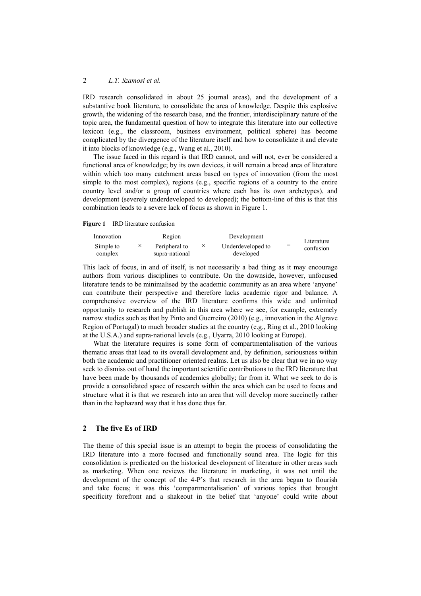#### 2 *L.T. Szamosi et al.*

IRD research consolidated in about 25 journal areas), and the development of a substantive book literature, to consolidate the area of knowledge. Despite this explosive growth, the widening of the research base, and the frontier, interdisciplinary nature of the topic area, the fundamental question of how to integrate this literature into our collective lexicon (e.g., the classroom, business environment, political sphere) has become complicated by the divergence of the literature itself and how to consolidate it and elevate it into blocks of knowledge (e.g., Wang et al., 2010).

The issue faced in this regard is that IRD cannot, and will not, ever be considered a functional area of knowledge; by its own devices, it will remain a broad area of literature within which too many catchment areas based on types of innovation (from the most simple to the most complex), regions (e.g., specific regions of a country to the entire country level and/or a group of countries where each has its own archetypes), and development (severely underdeveloped to developed); the bottom-line of this is that this combination leads to a severe lack of focus as shown in Figure 1.

**Figure 1** IRD literature confusion

| Innovation | Region         |          | Development                    |  | Literature<br>confusion |
|------------|----------------|----------|--------------------------------|--|-------------------------|
| Simple to  | Peripheral to  | $\times$ | Underdeveloped to<br>developed |  |                         |
| complex    | supra-national |          |                                |  |                         |

This lack of focus, in and of itself, is not necessarily a bad thing as it may encourage authors from various disciplines to contribute. On the downside, however, unfocused literature tends to be minimalised by the academic community as an area where 'anyone' can contribute their perspective and therefore lacks academic rigor and balance. A comprehensive overview of the IRD literature confirms this wide and unlimited opportunity to research and publish in this area where we see, for example, extremely narrow studies such as that by Pinto and Guerreiro (2010) (e.g., innovation in the Algrave Region of Portugal) to much broader studies at the country (e.g., Ring et al., 2010 looking at the U.S.A.) and supra-national levels (e.g., Uyarra, 2010 looking at Europe).

What the literature requires is some form of compartmentalisation of the various thematic areas that lead to its overall development and, by definition, seriousness within both the academic and practitioner oriented realms. Let us also be clear that we in no way seek to dismiss out of hand the important scientific contributions to the IRD literature that have been made by thousands of academics globally; far from it. What we seek to do is provide a consolidated space of research within the area which can be used to focus and structure what it is that we research into an area that will develop more succinctly rather than in the haphazard way that it has done thus far.

#### **2 The five Es of IRD**

The theme of this special issue is an attempt to begin the process of consolidating the IRD literature into a more focused and functionally sound area. The logic for this consolidation is predicated on the historical development of literature in other areas such as marketing. When one reviews the literature in marketing, it was not until the development of the concept of the 4-P's that research in the area began to flourish and take focus; it was this 'compartmentalisation' of various topics that brought specificity forefront and a shakeout in the belief that 'anyone' could write about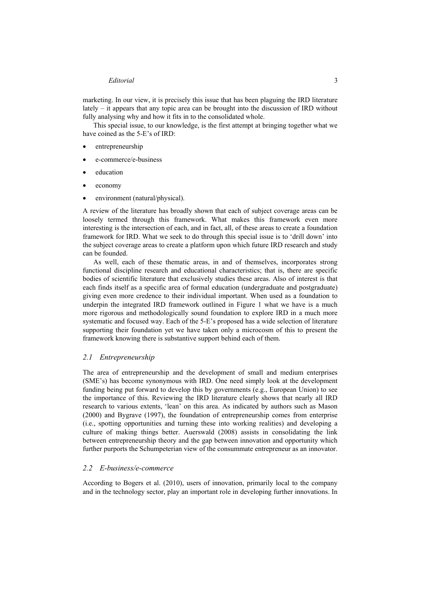marketing. In our view, it is precisely this issue that has been plaguing the IRD literature lately – it appears that any topic area can be brought into the discussion of IRD without fully analysing why and how it fits in to the consolidated whole.

This special issue, to our knowledge, is the first attempt at bringing together what we have coined as the 5-E's of IRD:

- entrepreneurship
- e-commerce/e-business
- education
- economy
- environment (natural/physical).

A review of the literature has broadly shown that each of subject coverage areas can be loosely termed through this framework. What makes this framework even more interesting is the intersection of each, and in fact, all, of these areas to create a foundation framework for IRD. What we seek to do through this special issue is to 'drill down' into the subject coverage areas to create a platform upon which future IRD research and study can be founded.

As well, each of these thematic areas, in and of themselves, incorporates strong functional discipline research and educational characteristics; that is, there are specific bodies of scientific literature that exclusively studies these areas. Also of interest is that each finds itself as a specific area of formal education (undergraduate and postgraduate) giving even more credence to their individual important. When used as a foundation to underpin the integrated IRD framework outlined in Figure 1 what we have is a much more rigorous and methodologically sound foundation to explore IRD in a much more systematic and focused way. Each of the 5-E's proposed has a wide selection of literature supporting their foundation yet we have taken only a microcosm of this to present the framework knowing there is substantive support behind each of them.

#### *2.1 Entrepreneurship*

The area of entrepreneurship and the development of small and medium enterprises (SME's) has become synonymous with IRD. One need simply look at the development funding being put forward to develop this by governments (e.g., European Union) to see the importance of this. Reviewing the IRD literature clearly shows that nearly all IRD research to various extents, 'lean' on this area. As indicated by authors such as Mason (2000) and Bygrave (1997), the foundation of entrepreneurship comes from enterprise (i.e., spotting opportunities and turning these into working realities) and developing a culture of making things better. Auerswald (2008) assists in consolidating the link between entrepreneurship theory and the gap between innovation and opportunity which further purports the Schumpeterian view of the consummate entrepreneur as an innovator.

## *2.2 E-business/e-commerce*

According to Bogers et al. (2010), users of innovation, primarily local to the company and in the technology sector, play an important role in developing further innovations. In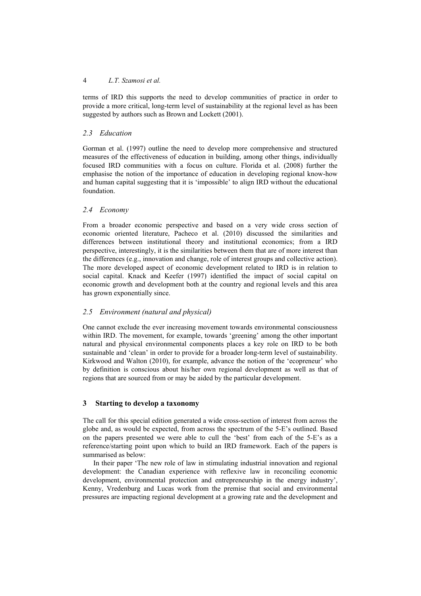### 4 *L.T. Szamosi et al.*

terms of IRD this supports the need to develop communities of practice in order to provide a more critical, long-term level of sustainability at the regional level as has been suggested by authors such as Brown and Lockett (2001).

#### *2.3 Education*

Gorman et al. (1997) outline the need to develop more comprehensive and structured measures of the effectiveness of education in building, among other things, individually focused IRD communities with a focus on culture. Florida et al. (2008) further the emphasise the notion of the importance of education in developing regional know-how and human capital suggesting that it is 'impossible' to align IRD without the educational foundation.

#### *2.4 Economy*

From a broader economic perspective and based on a very wide cross section of economic oriented literature, Pacheco et al. (2010) discussed the similarities and differences between institutional theory and institutional economics; from a IRD perspective, interestingly, it is the similarities between them that are of more interest than the differences (e.g., innovation and change, role of interest groups and collective action). The more developed aspect of economic development related to IRD is in relation to social capital. Knack and Keefer (1997) identified the impact of social capital on economic growth and development both at the country and regional levels and this area has grown exponentially since.

#### *2.5 Environment (natural and physical)*

One cannot exclude the ever increasing movement towards environmental consciousness within IRD. The movement, for example, towards 'greening' among the other important natural and physical environmental components places a key role on IRD to be both sustainable and 'clean' in order to provide for a broader long-term level of sustainability. Kirkwood and Walton (2010), for example, advance the notion of the 'ecopreneur' who by definition is conscious about his/her own regional development as well as that of regions that are sourced from or may be aided by the particular development.

#### **3 Starting to develop a taxonomy**

The call for this special edition generated a wide cross-section of interest from across the globe and, as would be expected, from across the spectrum of the 5-E's outlined. Based on the papers presented we were able to cull the 'best' from each of the 5-E's as a reference/starting point upon which to build an IRD framework. Each of the papers is summarised as below:

In their paper 'The new role of law in stimulating industrial innovation and regional development: the Canadian experience with reflexive law in reconciling economic development, environmental protection and entrepreneurship in the energy industry', Kenny, Vredenburg and Lucas work from the premise that social and environmental pressures are impacting regional development at a growing rate and the development and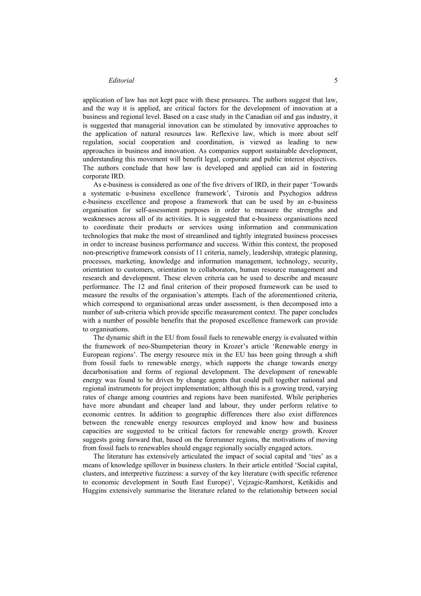application of law has not kept pace with these pressures. The authors suggest that law, and the way it is applied, are critical factors for the development of innovation at a business and regional level. Based on a case study in the Canadian oil and gas industry, it is suggested that managerial innovation can be stimulated by innovative approaches to the application of natural resources law. Reflexive law, which is more about self regulation, social cooperation and coordination, is viewed as leading to new approaches in business and innovation. As companies support sustainable development, understanding this movement will benefit legal, corporate and public interest objectives. The authors conclude that how law is developed and applied can aid in fostering corporate IRD.

As e-business is considered as one of the five drivers of IRD, in their paper 'Towards a systematic e-business excellence framework', Tsironis and Psychogios address e-business excellence and propose a framework that can be used by an e-business organisation for self-assessment purposes in order to measure the strengths and weaknesses across all of its activities. It is suggested that e-business organisations need to coordinate their products or services using information and communication technologies that make the most of streamlined and tightly integrated business processes in order to increase business performance and success. Within this context, the proposed non-prescriptive framework consists of 11 criteria, namely, leadership, strategic planning, processes, marketing, knowledge and information management, technology, security, orientation to customers, orientation to collaborators, human resource management and research and development. These eleven criteria can be used to describe and measure performance. The 12 and final criterion of their proposed framework can be used to measure the results of the organisation's attempts. Each of the aforementioned criteria, which correspond to organisational areas under assessment, is then decomposed into a number of sub-criteria which provide specific measurement context. The paper concludes with a number of possible benefits that the proposed excellence framework can provide to organisations.

The dynamic shift in the EU from fossil fuels to renewable energy is evaluated within the framework of neo-Shumpeterian theory in Krozer's article 'Renewable energy in European regions'. The energy resource mix in the EU has been going through a shift from fossil fuels to renewable energy, which supports the change towards energy decarbonisation and forms of regional development. The development of renewable energy was found to be driven by change agents that could pull together national and regional instruments for project implementation; although this is a growing trend, varying rates of change among countries and regions have been manifested. While peripheries have more abundant and cheaper land and labour, they under perform relative to economic centres. In addition to geographic differences there also exist differences between the renewable energy resources employed and know how and business capacities are suggested to be critical factors for renewable energy growth. Krozer suggests going forward that, based on the forerunner regions, the motivations of moving from fossil fuels to renewables should engage regionally socially engaged actors.

The literature has extensively articulated the impact of social capital and 'ties' as a means of knowledge spillover in business clusters. In their article entitled 'Social capital, clusters, and interpretive fuzziness: a survey of the key literature (with specific reference to economic development in South East Europe)', Vejzagic-Ramhorst, Ketikidis and Huggins extensively summarise the literature related to the relationship between social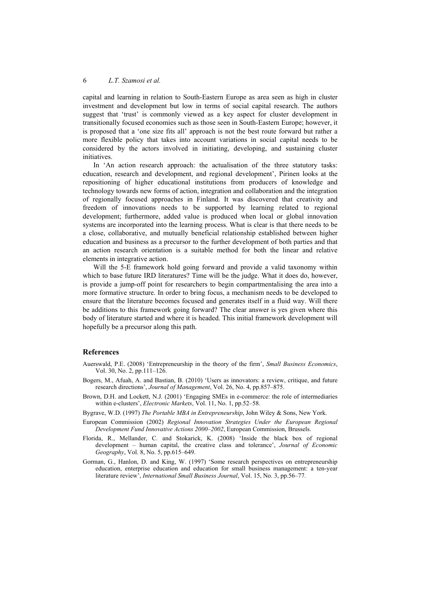### 6 *L.T. Szamosi et al.*

capital and learning in relation to South-Eastern Europe as area seen as high in cluster investment and development but low in terms of social capital research. The authors suggest that 'trust' is commonly viewed as a key aspect for cluster development in transitionally focused economies such as those seen in South-Eastern Europe; however, it is proposed that a 'one size fits all' approach is not the best route forward but rather a more flexible policy that takes into account variations in social capital needs to be considered by the actors involved in initiating, developing, and sustaining cluster initiatives.

In 'An action research approach: the actualisation of the three statutory tasks: education, research and development, and regional development', Pirinen looks at the repositioning of higher educational institutions from producers of knowledge and technology towards new forms of action, integration and collaboration and the integration of regionally focused approaches in Finland. It was discovered that creativity and freedom of innovations needs to be supported by learning related to regional development; furthermore, added value is produced when local or global innovation systems are incorporated into the learning process. What is clear is that there needs to be a close, collaborative, and mutually beneficial relationship established between higher education and business as a precursor to the further development of both parties and that an action research orientation is a suitable method for both the linear and relative elements in integrative action.

Will the 5-E framework hold going forward and provide a valid taxonomy within which to base future IRD literatures? Time will be the judge. What it does do, however, is provide a jump-off point for researchers to begin compartmentalising the area into a more formative structure. In order to bring focus, a mechanism needs to be developed to ensure that the literature becomes focused and generates itself in a fluid way. Will there be additions to this framework going forward? The clear answer is yes given where this body of literature started and where it is headed. This initial framework development will hopefully be a precursor along this path.

#### **References**

- Auerswald, P.E. (2008) 'Entrepreneurship in the theory of the firm', *Small Business Economics*, Vol. 30, No. 2, pp.111–126.
- Bogers, M., Afuah, A. and Bastian, B. (2010) 'Users as innovators: a review, critique, and future research directions', *Journal of Management*, Vol. 26, No. 4, pp.857–875.
- Brown, D.H. and Lockett, N.J. (2001) 'Engaging SMEs in e-commerce: the role of intermediaries within e-clusters', *Electronic Markets*, Vol. 11, No. 1, pp.52–58.
- Bygrave, W.D. (1997) *The Portable MBA in Entrepreneurship*, John Wiley & Sons, New York.
- European Commission (2002) *Regional Innovation Strategies Under the European Regional Development Fund Innovative Actions 2000–2002*, European Commission, Brussels.
- Florida, R., Mellander, C. and Stokarick, K. (2008) 'Inside the black box of regional development – human capital, the creative class and tolerance', *Journal of Economic Geography*, Vol. 8, No. 5, pp.615–649.
- Gorman, G., Hanlon, D. and King, W. (1997) 'Some research perspectives on entrepreneurship education, enterprise education and education for small business management: a ten-year literature review', *International Small Business Journal*, Vol. 15, No. 3, pp.56–77.